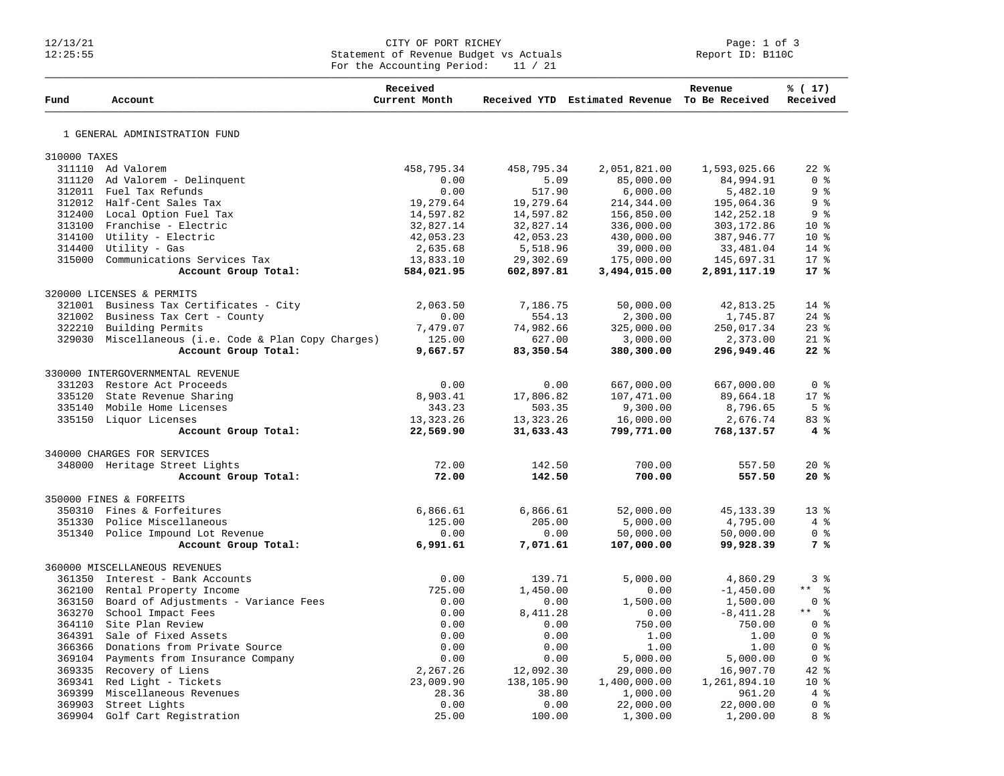## 12/13/21 CITY OF PORT RICHEY Page: 1 of 3 12:25:55 Statement of Revenue Budget vs Actuals Report ID: B110C For the Accounting Period: 11 / 21

| Fund         | Account                                              | Received<br>Current Month |             | Received YTD Estimated Revenue To Be Received | Revenue      | % (17)<br>Received                 |
|--------------|------------------------------------------------------|---------------------------|-------------|-----------------------------------------------|--------------|------------------------------------|
|              | 1 GENERAL ADMINISTRATION FUND                        |                           |             |                                               |              |                                    |
| 310000 TAXES |                                                      |                           |             |                                               |              |                                    |
|              | 311110 Ad Valorem                                    |                           |             |                                               |              | $22$ $%$                           |
|              |                                                      | 458,795.34<br>0.00        | 458,795.34  | 2,051,821.00                                  | 1,593,025.66 | $0 \text{ }$ $\text{ }$            |
|              | 311120 Ad Valorem - Delinquent                       |                           | 5.09        | 85,000.00                                     | 84,994.91    |                                    |
|              | 312011 Fuel Tax Refunds                              | 0.00                      | 517.90      | 6,000.00                                      | 5,482.10     | 9%                                 |
|              | 312012 Half-Cent Sales Tax                           | 19,279.64                 | 19,279.64   | 214,344.00                                    | 195,064.36   | 9%                                 |
|              | 312400 Local Option Fuel Tax                         | 14,597.82                 | 14,597.82   | 156,850.00                                    | 142,252.18   | 9 <sub>8</sub>                     |
|              | 313100 Franchise - Electric                          | 32,827.14                 | 32,827.14   | 336,000.00                                    | 303, 172.86  | $10*$                              |
|              | 314100 Utility - Electric                            | 42,053.23                 | 42,053.23   | 430,000.00                                    | 387,946.77   | $10*$                              |
|              | 314400 Utility - Gas                                 | 2,635.68                  | 5,518.96    | 39,000.00                                     | 33,481.04    | $14*$                              |
|              | 315000 Communications Services Tax                   | 13,833.10                 | 29,302.69   | 175,000.00                                    | 145,697.31   | $17*$                              |
|              | Account Group Total:                                 | 584,021.95                | 602,897.81  | 3,494,015.00                                  | 2,891,117.19 | $17*$                              |
|              | 320000 LICENSES & PERMITS                            |                           |             |                                               |              |                                    |
|              | 321001 Business Tax Certificates - City              | 2,063.50                  | 7,186.75    | 50,000.00                                     | 42,813.25    | $14*$                              |
|              | 321002 Business Tax Cert - County                    | 0.00                      | 554.13      | 2,300.00                                      | 1,745.87     | $24$ $%$                           |
|              | 322210 Building Permits                              | 7,479.07                  | 74,982.66   | 325,000.00                                    | 250,017.34   | $23$ $%$                           |
|              | 329030 Miscellaneous (i.e. Code & Plan Copy Charges) | 125.00                    | 627.00      | 3,000.00                                      | 2,373.00     | $21*$                              |
|              | Account Group Total:                                 | 9,667.57                  | 83,350.54   | 380,300.00                                    | 296,949.46   | 22%                                |
|              |                                                      |                           |             |                                               |              |                                    |
|              | 330000 INTERGOVERNMENTAL REVENUE                     |                           |             |                                               |              |                                    |
|              | 331203 Restore Act Proceeds                          | 0.00                      | 0.00        | 667,000.00                                    | 667,000.00   | 0 <sup>8</sup>                     |
|              | 335120 State Revenue Sharing                         | 8,903.41                  | 17,806.82   | 107,471.00                                    | 89,664.18    | $17*$                              |
|              | 335140 Mobile Home Licenses                          | 343.23                    | 503.35      | 9,300.00                                      | 8,796.65     | 5 <sup>8</sup>                     |
|              | 335150 Liquor Licenses                               | 13, 323. 26               | 13, 323. 26 | 16,000.00                                     | 2,676.74     | 83 %                               |
|              | Account Group Total:                                 | 22,569.90                 | 31,633.43   | 799,771.00                                    | 768,137.57   | 4%                                 |
|              | 340000 CHARGES FOR SERVICES                          |                           |             |                                               |              |                                    |
|              | 348000 Heritage Street Lights                        | 72.00                     | 142.50      | 700.00                                        | 557.50       | $20*$                              |
|              | Account Group Total:                                 | 72.00                     | 142.50      | 700.00                                        | 557.50       | 20%                                |
|              |                                                      |                           |             |                                               |              |                                    |
|              | 350000 FINES & FORFEITS                              |                           |             |                                               |              |                                    |
|              | 350310 Fines & Forfeitures                           | 6,866.61                  | 6,866.61    | 52,000.00                                     | 45, 133.39   | $13*$                              |
|              | 351330 Police Miscellaneous                          | 125.00                    | 205.00      | 5,000.00                                      | 4,795.00     | 4%                                 |
|              | 351340 Police Impound Lot Revenue                    | 0.00                      | 0.00        | 50,000.00                                     | 50,000.00    | 0 <sup>8</sup>                     |
|              | Account Group Total:                                 | 6,991.61                  | 7,071.61    | 107,000.00                                    | 99,928.39    | 7 %                                |
|              | 360000 MISCELLANEOUS REVENUES                        |                           |             |                                               |              |                                    |
|              | 361350 Interest - Bank Accounts                      | 0.00                      | 139.71      | 5,000.00                                      | 4,860.29     | 3 %                                |
|              | 362100 Rental Property Income                        | 725.00                    | 1,450.00    | 0.00                                          | $-1,450.00$  | $***$<br>ಿ                         |
|              | 363150 Board of Adjustments - Variance Fees          | 0.00                      | 0.00        | 1,500.00                                      | 1,500.00     | 0 <sub>8</sub>                     |
|              | 363270 School Impact Fees                            | 0.00                      |             | 0.00                                          |              | $***$ $ -$                         |
|              |                                                      |                           | 8,411.28    |                                               | $-8,411.28$  | $0 \text{ }$ $\text{ }$ $\text{ }$ |
|              | 364110 Site Plan Review                              | 0.00                      | 0.00        | 750.00                                        | 750.00       |                                    |
|              | 364391 Sale of Fixed Assets                          | 0.00                      | 0.00        | 1.00                                          | 1.00         | 0 <sup>8</sup>                     |
|              | 366366 Donations from Private Source                 | 0.00                      | 0.00        | 1.00                                          | 1.00         | $0 \text{ }$ $\text{ }$ $\text{ }$ |
|              | 369104 Payments from Insurance Company               | 0.00                      | 0.00        | 5,000.00                                      | 5,000.00     | 0 <sup>8</sup>                     |
|              | 369335 Recovery of Liens                             | 2,267.26                  | 12,092.30   | 29,000.00                                     | 16,907.70    | $42$ %                             |
|              | 369341 Red Light - Tickets                           | 23,009.90                 | 138,105.90  | 1,400,000.00                                  | 1,261,894.10 | 10 <sup>°</sup>                    |
| 369399       | Miscellaneous Revenues                               | 28.36                     | 38.80       | 1,000.00                                      | 961.20       | 4%                                 |
|              | 369903 Street Lights                                 | 0.00                      | 0.00        | 22,000.00                                     | 22,000.00    | 0 <sup>8</sup>                     |
|              | 369904 Golf Cart Registration                        | 25.00                     | 100.00      | 1,300.00                                      | 1,200.00     | 8 %                                |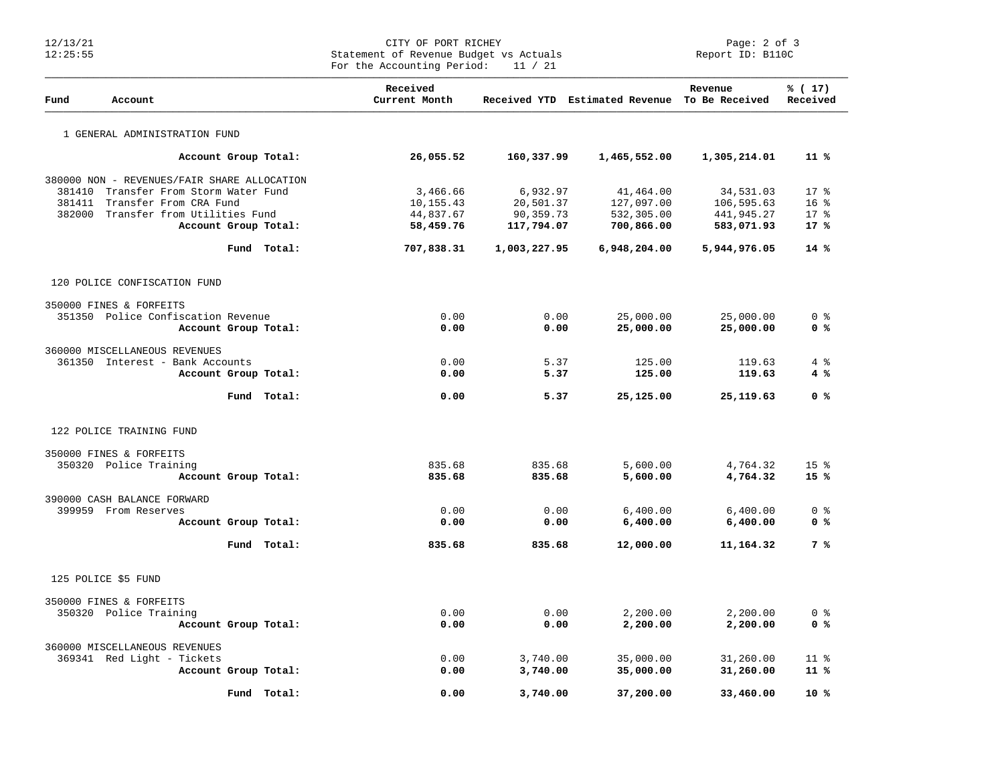## Page: 2 of 3<br>CITY OF PORT RICHEY Page: 2 of 3<br>Statement of Revenue Budget vs Actuals Report ID: B110C Statement of Revenue Budget vs Actuals For the Accounting Period: 11 / 21

| Fund   | Account                                           |                      | Received<br>Current Month |              | Received YTD Estimated Revenue To Be Received | Revenue      | % (17)<br>Received |
|--------|---------------------------------------------------|----------------------|---------------------------|--------------|-----------------------------------------------|--------------|--------------------|
|        | 1 GENERAL ADMINISTRATION FUND                     |                      |                           |              |                                               |              |                    |
|        |                                                   | Account Group Total: | 26,055.52                 | 160,337.99   | 1,465,552.00                                  | 1,305,214.01 | $11*$              |
|        | 380000 NON - REVENUES/FAIR SHARE ALLOCATION       |                      |                           |              |                                               |              |                    |
| 381410 | Transfer From Storm Water Fund                    |                      | 3,466.66                  | 6,932.97     | 41,464.00                                     | 34,531.03    | $17*$              |
| 381411 | Transfer From CRA Fund                            |                      | 10,155.43                 | 20,501.37    | 127,097.00                                    | 106,595.63   | 16 <sup>°</sup>    |
| 382000 | Transfer from Utilities Fund                      |                      | 44,837.67                 | 90,359.73    | 532,305.00                                    | 441,945.27   | $17*$              |
|        |                                                   | Account Group Total: | 58,459.76                 | 117,794.07   | 700,866.00                                    | 583,071.93   | 17%                |
|        |                                                   | Fund Total:          | 707,838.31                | 1,003,227.95 | 6,948,204.00                                  | 5,944,976.05 | 14%                |
|        | 120 POLICE CONFISCATION FUND                      |                      |                           |              |                                               |              |                    |
|        | 350000 FINES & FORFEITS                           |                      |                           |              |                                               |              |                    |
|        | 351350 Police Confiscation Revenue                |                      | 0.00                      | 0.00         | 25,000.00                                     | 25,000.00    | 0 <sup>8</sup>     |
|        |                                                   | Account Group Total: | 0.00                      | 0.00         | 25,000.00                                     | 25,000.00    | 0 <sup>8</sup>     |
|        | 360000 MISCELLANEOUS REVENUES                     |                      |                           |              |                                               |              |                    |
|        | 361350 Interest - Bank Accounts                   |                      | 0.00                      | 5.37         | 125.00                                        | 119.63       | 4%                 |
|        |                                                   | Account Group Total: | 0.00                      | 5.37         | 125.00                                        | 119.63       | 4 %                |
|        |                                                   | Fund Total:          | 0.00                      | 5.37         | 25,125.00                                     | 25, 119.63   | 0 %                |
|        | 122 POLICE TRAINING FUND                          |                      |                           |              |                                               |              |                    |
|        | 350000 FINES & FORFEITS                           |                      |                           |              |                                               |              |                    |
|        | 350320 Police Training                            |                      | 835.68                    | 835.68       | 5,600.00                                      | 4,764.32     | 15 <sup>°</sup>    |
|        |                                                   | Account Group Total: | 835.68                    | 835.68       | 5,600.00                                      | 4,764.32     | 15%                |
|        | 390000 CASH BALANCE FORWARD                       |                      |                           |              |                                               |              |                    |
|        | 399959 From Reserves                              |                      | 0.00                      | 0.00         | 6,400.00                                      | 6,400.00     | 0 <sup>8</sup>     |
|        |                                                   | Account Group Total: | 0.00                      | 0.00         | 6,400.00                                      | 6,400.00     | 0 %                |
|        |                                                   | Fund Total:          | 835.68                    | 835.68       | 12,000.00                                     | 11,164.32    | 7 %                |
|        | 125 POLICE \$5 FUND                               |                      |                           |              |                                               |              |                    |
|        |                                                   |                      |                           |              |                                               |              |                    |
|        | 350000 FINES & FORFEITS<br>350320 Police Training |                      | 0.00                      | 0.00         | 2,200.00                                      | 2,200.00     | 0 <sup>8</sup>     |
|        |                                                   | Account Group Total: | 0.00                      | 0.00         | 2,200.00                                      | 2,200.00     | 0 <sup>8</sup>     |
|        | 360000 MISCELLANEOUS REVENUES                     |                      |                           |              |                                               |              |                    |
|        | 369341 Red Light - Tickets                        |                      | 0.00                      | 3,740.00     | 35,000.00                                     | 31,260.00    | $11*$              |
|        |                                                   | Account Group Total: | 0.00                      | 3,740.00     | 35,000.00                                     | 31,260.00    | $11$ %             |
|        |                                                   | Fund Total:          | 0.00                      | 3,740.00     | 37,200.00                                     | 33,460.00    | $10*$              |